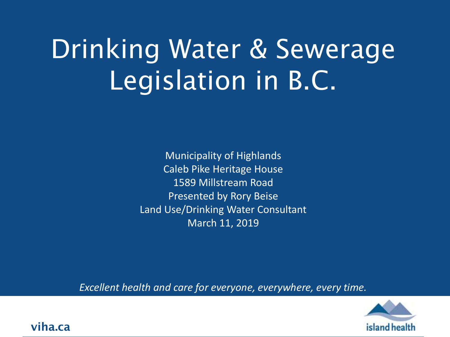# Drinking Water & Sewerage Legislation in B.C.

Municipality of Highlands Caleb Pike Heritage House 1589 Millstream Road Presented by Rory Beise Land Use/Drinking Water Consultant March 11, 2019

*Excellent health and care for everyone, everywhere, every time.*



**viha.ca**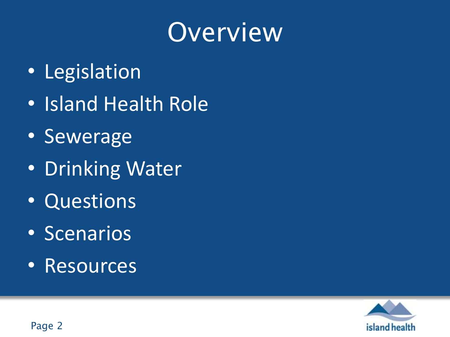#### Overview

- Legislation
- Island Health Role
- Sewerage
- Drinking Water
- Questions
- Scenarios
- Resources

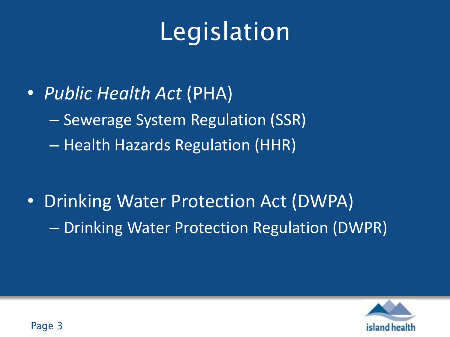# Legislation

- *Public Health Act* (PHA)
	- Sewerage System Regulation (SSR)
	- Health Hazards Regulation (HHR)

• Drinking Water Protection Act (DWPA) – Drinking Water Protection Regulation (DWPR)

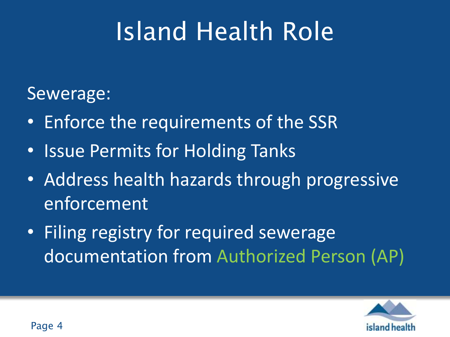#### Sewerage:

- Enforce the requirements of the SSR
- Issue Permits for Holding Tanks
- Address health hazards through progressive enforcement
- Filing registry for required sewerage documentation from Authorized Person (AP)

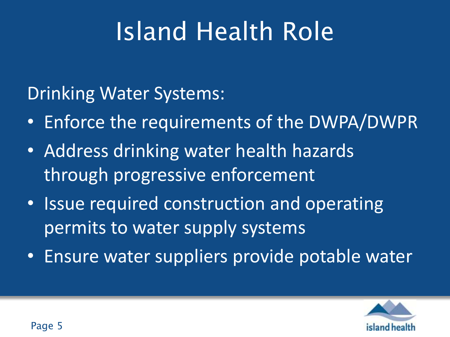Drinking Water Systems:

- Enforce the requirements of the DWPA/DWPR
- Address drinking water health hazards through progressive enforcement
- Issue required construction and operating permits to water supply systems
- Ensure water suppliers provide potable water

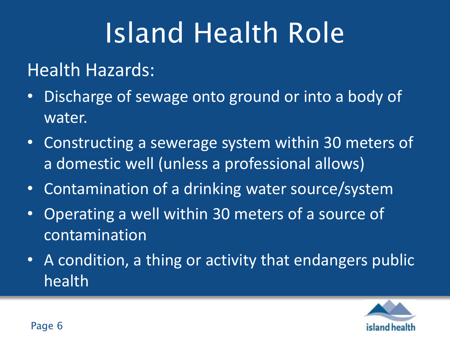#### Health Hazards:

- Discharge of sewage onto ground or into a body of water.
- Constructing a sewerage system within 30 meters of a domestic well (unless a professional allows)
- Contamination of a drinking water source/system
- Operating a well within 30 meters of a source of contamination
- A condition, a thing or activity that endangers public health

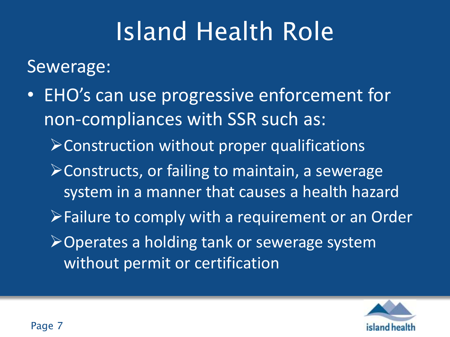Sewerage:

- EHO's can use progressive enforcement for non-compliances with SSR such as: Construction without proper qualifications
	- Constructs, or failing to maintain, a sewerage system in a manner that causes a health hazard
	- Failure to comply with a requirement or an Order
	- Operates a holding tank or sewerage system without permit or certification

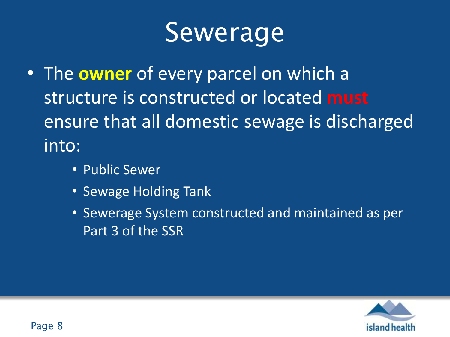## **Sewerage**

- The **owner** of every parcel on which a structure is constructed or located **must** ensure that all domestic sewage is discharged into:
	- Public Sewer
	- Sewage Holding Tank
	- Sewerage System constructed and maintained as per Part 3 of the SSR

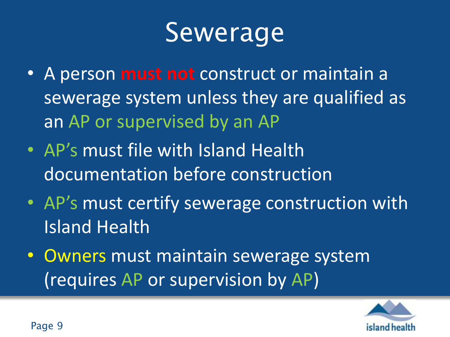## Sewerage

- A person **must not** construct or maintain a sewerage system unless they are qualified as an AP or supervised by an AP
- AP's must file with Island Health documentation before construction
- AP's must certify sewerage construction with Island Health
- Owners must maintain sewerage system (requires AP or supervision by AP)

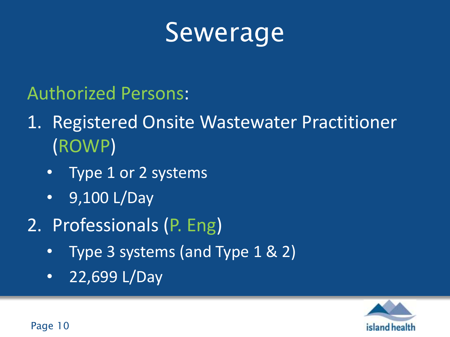#### Sewerage

#### Authorized Persons:

#### 1. Registered Onsite Wastewater Practitioner (ROWP)

- Type 1 or 2 systems
- 9,100 L/Day
- 2. Professionals (P. Eng)
	- Type 3 systems (and Type 1 & 2)
	- 22,699 L/Day



Page 10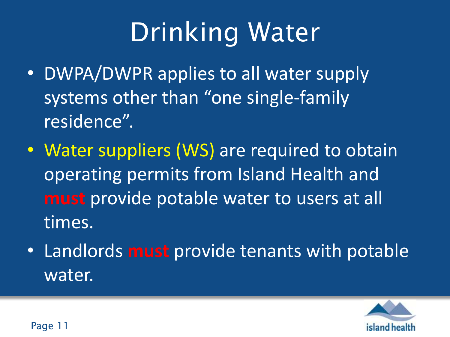# Drinking Water

- DWPA/DWPR applies to all water supply systems other than "one single-family residence".
- Water suppliers (WS) are required to obtain operating permits from Island Health and **must** provide potable water to users at all times.
- Landlords **must** provide tenants with potable water.

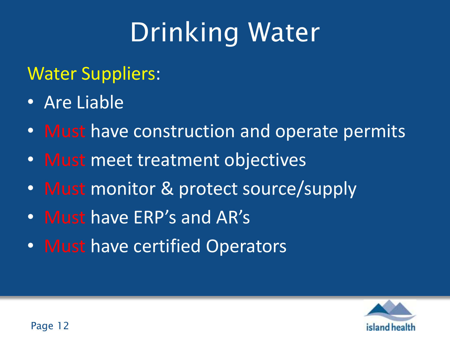# Drinking Water

#### Water Suppliers:

- Are Liable
- Must have construction and operate permits
- Must meet treatment objectives
- Must monitor & protect source/supply
- Must have ERP's and AR's
- Must have certified Operators

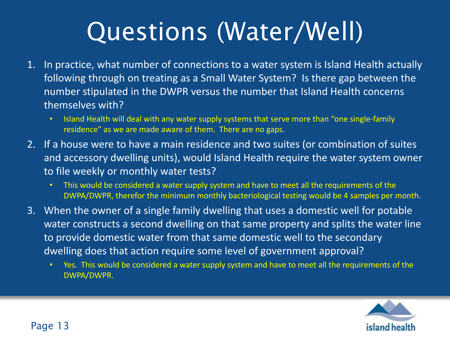## Questions (Water/Well)

- 1. In practice, what number of connections to a water system is Island Health actually following through on treating as a Small Water System? Is there gap between the number stipulated in the DWPR versus the number that Island Health concerns themselves with?
	- Island Health will deal with any water supply systems that serve more than "one single-family residence" as we are made aware of them. There are no gaps.
- 2. If a house were to have a main residence and two suites (or combination of suites and accessory dwelling units), would Island Health require the water system owner to file weekly or monthly water tests?
	- This would be considered a water supply system and have to meet all the requirements of the DWPA/DWPR, therefor the minimum monthly bacteriological testing would be 4 samples per month.
- 3. When the owner of a single family dwelling that uses a domestic well for potable water constructs a second dwelling on that same property and splits the water line to provide domestic water from that same domestic well to the secondary dwelling does that action require some level of government approval?
	- Yes. This would be considered a water supply system and have to meet all the requirements of the DWPA/DWPR.

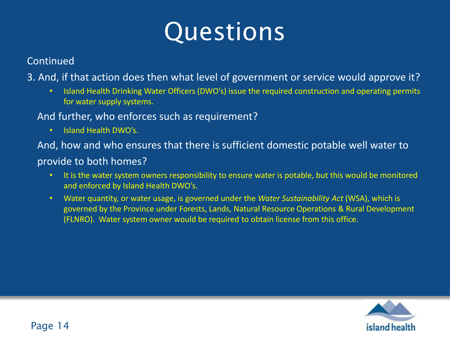## Questions

#### Continued

3. And, if that action does then what level of government or service would approve it?

- Island Health Drinking Water Officers (DWO's) issue the required construction and operating permits for water supply systems.
- And further, who enforces such as requirement?
	- Island Health DWO's.

 And, how and who ensures that there is sufficient domestic potable well water to provide to both homes?

- It is the water system owners responsibility to ensure water is potable, but this would be monitored and enforced by Island Health DWO's.
- Water quantity, or water usage, is governed under the *Water Sustainability Act* (WSA), which is governed by the Province under Forests, Lands, Natural Resource Operations & Rural Development (FLNRO). Water system owner would be required to obtain license from this office.

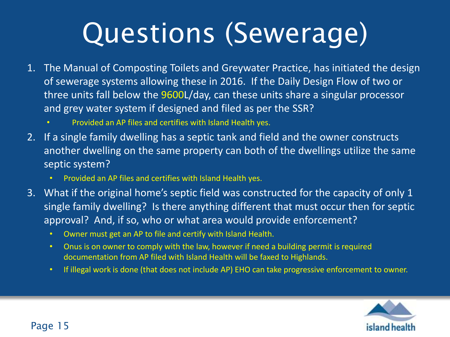# Questions (Sewerage)

- 1. The Manual of Composting Toilets and Greywater Practice, has initiated the design of sewerage systems allowing these in 2016. If the Daily Design Flow of two or three units fall below the 9600L/day, can these units share a singular processor and grey water system if designed and filed as per the SSR?
	- Provided an AP files and certifies with Island Health yes.
- 2. If a single family dwelling has a septic tank and field and the owner constructs another dwelling on the same property can both of the dwellings utilize the same septic system?
	- Provided an AP files and certifies with Island Health yes.
- 3. What if the original home's septic field was constructed for the capacity of only 1 single family dwelling? Is there anything different that must occur then for septic approval? And, if so, who or what area would provide enforcement?
	- Owner must get an AP to file and certify with Island Health.
	- Onus is on owner to comply with the law, however if need a building permit is required documentation from AP filed with Island Health will be faxed to Highlands.
	- If illegal work is done (that does not include AP) EHO can take progressive enforcement to owner.

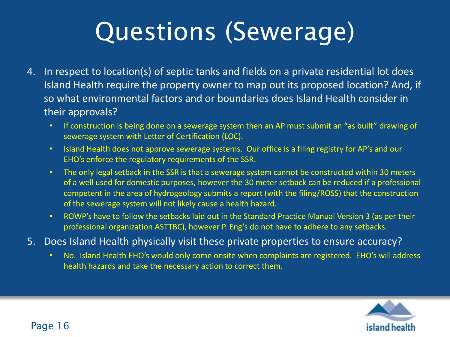## Questions (Sewerage)

- 4. In respect to location(s) of septic tanks and fields on a private residential lot does Island Health require the property owner to map out its proposed location? And, if so what environmental factors and or boundaries does Island Health consider in their approvals?
	- If construction is being done on a sewerage system then an AP must submit an "as built" drawing of sewerage system with Letter of Certification (LOC).
	- Island Health does not approve sewerage systems. Our office is a filing registry for AP's and our EHO's enforce the regulatory requirements of the SSR.
	- The only legal setback in the SSR is that a sewerage system cannot be constructed within 30 meters of a well used for domestic purposes, however the 30 meter setback can be reduced if a professional competent in the area of hydrogeology submits a report (with the filing/ROSS) that the construction of the sewerage system will not likely cause a health hazard.
	- ROWP's have to follow the setbacks laid out in the Standard Practice Manual Version 3 (as per their professional organization ASTTBC), however P. Eng's do not have to adhere to any setbacks.
- 5. Does Island Health physically visit these private properties to ensure accuracy?
	- No. Island Health EHO's would only come onsite when complaints are registered. EHO's will address health hazards and take the necessary action to correct them.

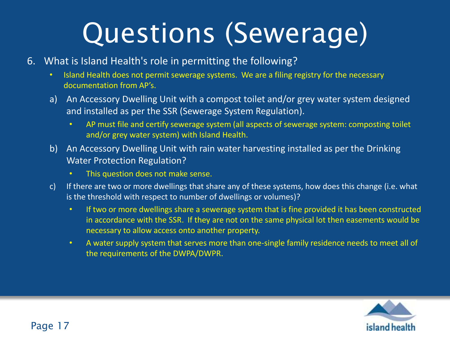# Questions (Sewerage)

- 6. What is Island Health's role in permitting the following?
	- Island Health does not permit sewerage systems. We are a filing registry for the necessary documentation from AP's.
	- a) An Accessory Dwelling Unit with a compost toilet and/or grey water system designed and installed as per the SSR (Sewerage System Regulation).
		- AP must file and certify sewerage system (all aspects of sewerage system: composting toilet and/or grey water system) with Island Health.
	- b) An Accessory Dwelling Unit with rain water harvesting installed as per the Drinking Water Protection Regulation?
		- This question does not make sense.
	- c) If there are two or more dwellings that share any of these systems, how does this change (i.e. what is the threshold with respect to number of dwellings or volumes)?
		- If two or more dwellings share a sewerage system that is fine provided it has been constructed in accordance with the SSR. If they are not on the same physical lot then easements would be necessary to allow access onto another property.
		- A water supply system that serves more than one-single family residence needs to meet all of the requirements of the DWPA/DWPR.

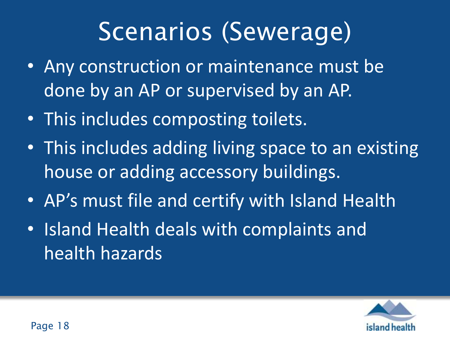### Scenarios (Sewerage)

- Any construction or maintenance must be done by an AP or supervised by an AP.
- This includes composting toilets.
- This includes adding living space to an existing house or adding accessory buildings.
- AP's must file and certify with Island Health
- Island Health deals with complaints and health hazards

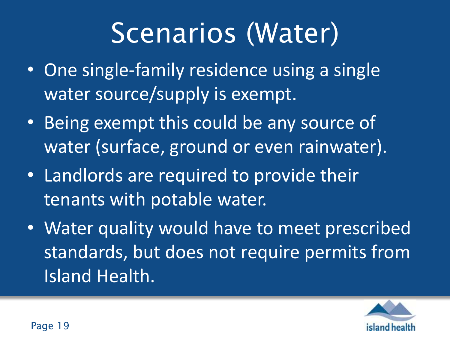# Scenarios (Water)

- One single-family residence using a single water source/supply is exempt.
- Being exempt this could be any source of water (surface, ground or even rainwater).
- Landlords are required to provide their tenants with potable water.
- Water quality would have to meet prescribed standards, but does not require permits from Island Health.

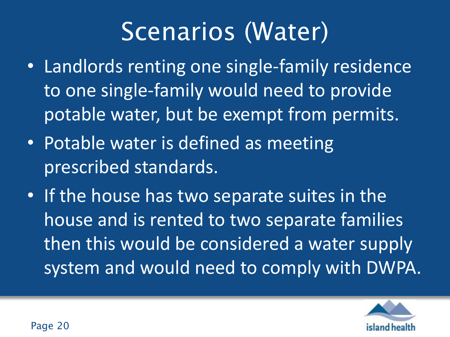#### Scenarios (Water)

- Landlords renting one single-family residence to one single-family would need to provide potable water, but be exempt from permits.
- Potable water is defined as meeting prescribed standards.
- If the house has two separate suites in the house and is rented to two separate families then this would be considered a water supply system and would need to comply with DWPA.

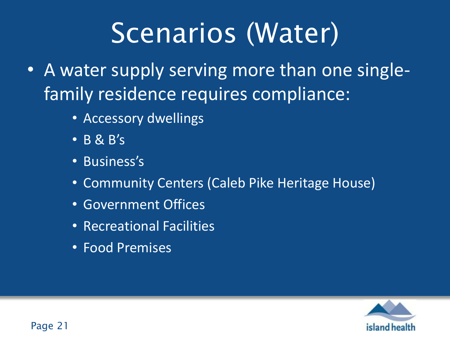# Scenarios (Water)

- A water supply serving more than one singlefamily residence requires compliance:
	- Accessory dwellings
	- B & B's
	- Business's
	- Community Centers (Caleb Pike Heritage House)
	- Government Offices
	- Recreational Facilities
	- Food Premises

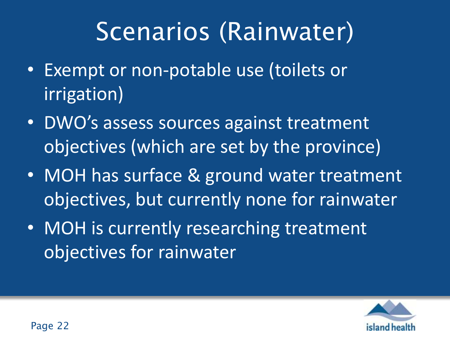### Scenarios (Rainwater)

- Exempt or non-potable use (toilets or irrigation)
- DWO's assess sources against treatment objectives (which are set by the province)
- MOH has surface & ground water treatment objectives, but currently none for rainwater
- MOH is currently researching treatment objectives for rainwater

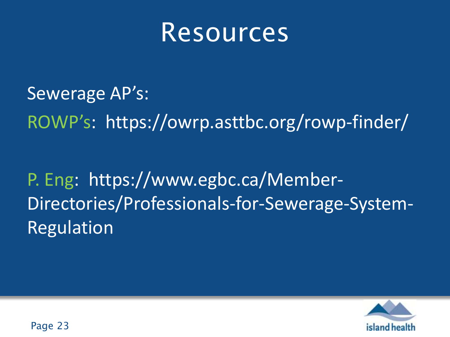#### Resources

Sewerage AP's: ROWP's: https://owrp.asttbc.org/rowp-finder/

P. Eng: https://www.egbc.ca/Member-Directories/Professionals-for-Sewerage-System-Regulation